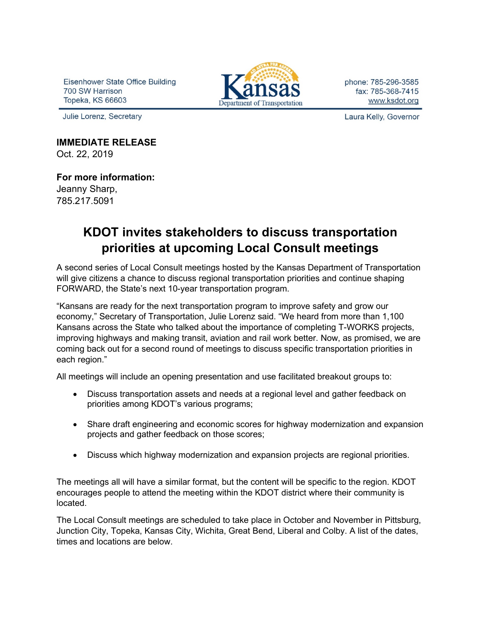Eisenhower State Office Building 700 SW Harrison Topeka, KS 66603

Julie Lorenz, Secretary



phone: 785-296-3585 fax: 785-368-7415 www.ksdot.org

Laura Kelly, Governor

# **IMMEDIATE RELEASE**

Oct. 22, 2019

### **For more information:**

Jeanny Sharp, 785.217.5091

## **KDOT invites stakeholders to discuss transportation priorities at upcoming Local Consult meetings**

A second series of Local Consult meetings hosted by the Kansas Department of Transportation will give citizens a chance to discuss regional transportation priorities and continue shaping FORWARD, the State's next 10-year transportation program.

"Kansans are ready for the next transportation program to improve safety and grow our economy," Secretary of Transportation, Julie Lorenz said. "We heard from more than 1,100 Kansans across the State who talked about the importance of completing T-WORKS projects, improving highways and making transit, aviation and rail work better. Now, as promised, we are coming back out for a second round of meetings to discuss specific transportation priorities in each region."

All meetings will include an opening presentation and use facilitated breakout groups to:

- Discuss transportation assets and needs at a regional level and gather feedback on priorities among KDOT's various programs;
- Share draft engineering and economic scores for highway modernization and expansion projects and gather feedback on those scores;
- Discuss which highway modernization and expansion projects are regional priorities.

The meetings all will have a similar format, but the content will be specific to the region. KDOT encourages people to attend the meeting within the KDOT district where their community is located.

The Local Consult meetings are scheduled to take place in October and November in Pittsburg, Junction City, Topeka, Kansas City, Wichita, Great Bend, Liberal and Colby. A list of the dates, times and locations are below.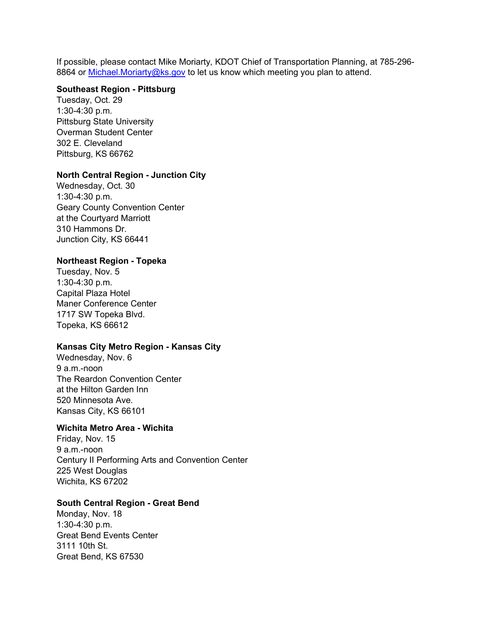If possible, please contact Mike Moriarty, KDOT Chief of Transportation Planning, at 785-296- 8864 or [Michael.Moriarty@ks.gov](mailto:Michael.Moriarty@ks.gov) to let us know which meeting you plan to attend.

#### **Southeast Region - Pittsburg**

Tuesday, Oct. 29 1:30-4:30 p.m. Pittsburg State University Overman Student Center 302 E. Cleveland Pittsburg, KS 66762

#### **North Central Region - Junction City**

Wednesday, Oct. 30 1:30-4:30 p.m. Geary County Convention Center at the Courtyard Marriott 310 Hammons Dr. Junction City, KS 66441

#### **Northeast Region - Topeka**

Tuesday, Nov. 5 1:30-4:30 p.m. Capital Plaza Hotel Maner Conference Center 1717 SW Topeka Blvd. Topeka, KS 66612

#### **Kansas City Metro Region - Kansas City**

Wednesday, Nov. 6 9 a.m.-noon The Reardon Convention Center at the Hilton Garden Inn 520 Minnesota Ave. Kansas City, KS 66101

#### **Wichita Metro Area - Wichita**

Friday, Nov. 15 9 a.m.-noon Century II Performing Arts and Convention Center 225 West Douglas Wichita, KS 67202

#### **South Central Region - Great Bend**

Monday, Nov. 18 1:30-4:30 p.m. Great Bend Events Center 3111 10th St. Great Bend, KS 67530